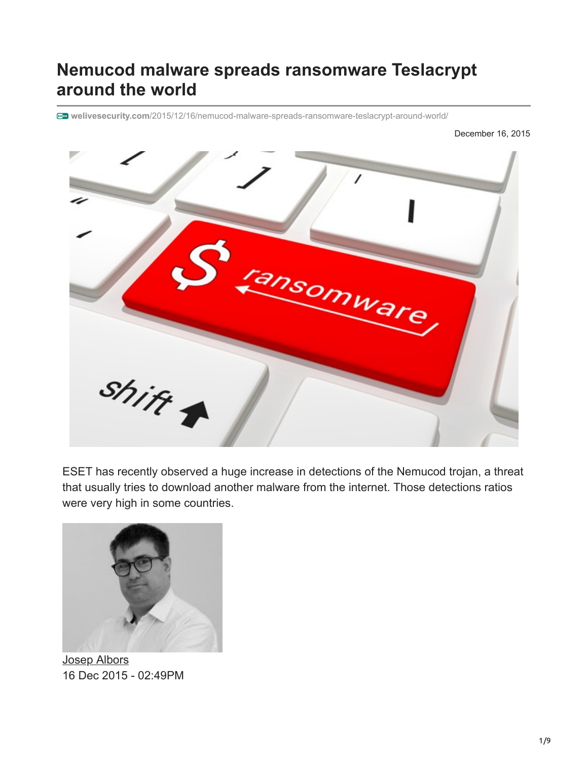# **Nemucod malware spreads ransomware Teslacrypt around the world**

**welivesecurity.com**[/2015/12/16/nemucod-malware-spreads-ransomware-teslacrypt-around-world/](https://www.welivesecurity.com/2015/12/16/nemucod-malware-spreads-ransomware-teslacrypt-around-world/)

December 16, 2015



ESET has recently observed a huge increase in detections of the Nemucod trojan, a threat that usually tries to download another malware from the internet. Those detections ratios were very high in some countries.



[Josep Albors](https://www.welivesecurity.com/author/jalbors/) 16 Dec 2015 - 02:49PM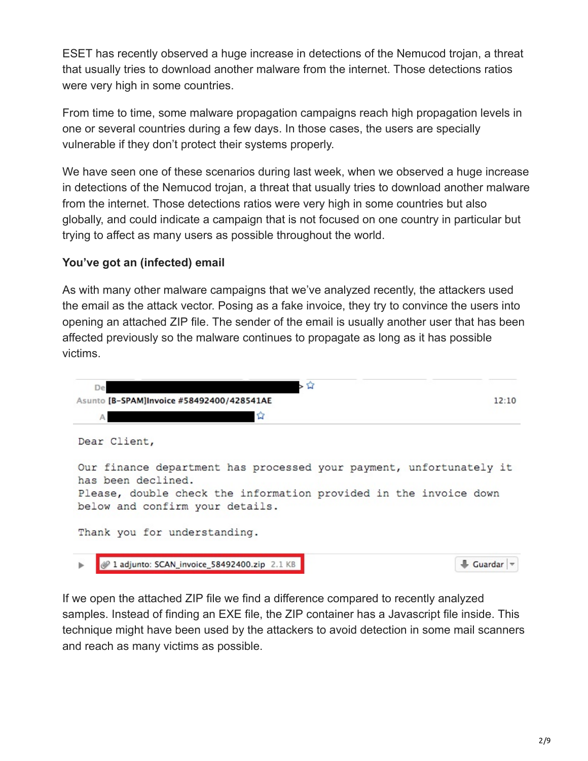ESET has recently observed a huge increase in detections of the Nemucod trojan, a threat that usually tries to download another malware from the internet. Those detections ratios were very high in some countries.

From time to time, some malware propagation campaigns reach high propagation levels in one or several countries during a few days. In those cases, the users are specially vulnerable if they don't protect their systems properly.

We have seen one of these scenarios during last week, when we observed a huge increase in detections of the Nemucod trojan, a threat that usually tries to download another malware from the internet. Those detections ratios were very high in some countries but also globally, and could indicate a campaign that is not focused on one country in particular but trying to affect as many users as possible throughout the world.

# **You've got an (infected) email**

As with many other malware campaigns that we've analyzed recently, the attackers used the email as the attack vector. Posing as a fake invoice, they try to convince the users into opening an attached ZIP file. The sender of the email is usually another user that has been affected previously so the malware continues to propagate as long as it has possible victims.



If we open the attached ZIP file we find a difference compared to recently analyzed samples. Instead of finding an EXE file, the ZIP container has a Javascript file inside. This technique might have been used by the attackers to avoid detection in some mail scanners and reach as many victims as possible.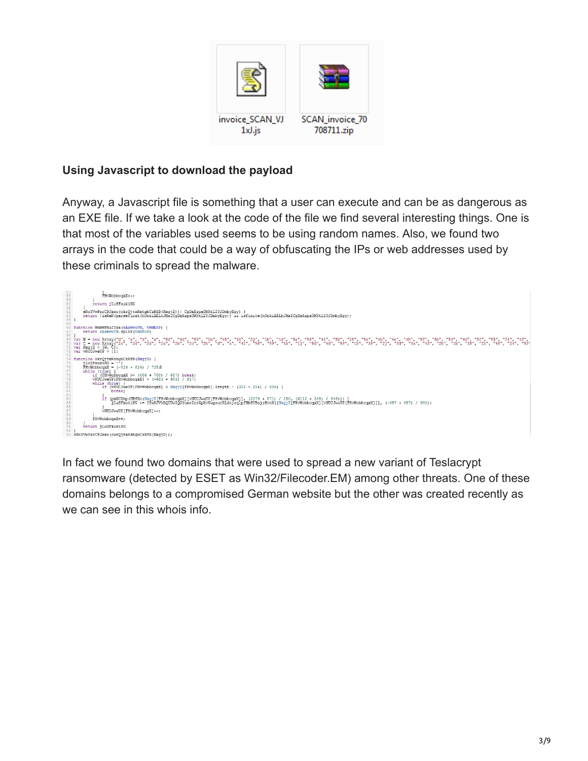

# **Using Javascript to download the payload**

Anyway, a Javascript file is something that a user can execute and can be as dangerous as an EXE file. If we take a look at the code of the file we find several interesting things. One is that most of the variables used seems to be using random names. Also, we found two arrays in the code that could be a way of obfuscating the IPs or web addresses used by these criminals to spread the malware.



In fact we found two domains that were used to spread a new variant of Teslacrypt ransomware (detected by ESET as Win32/Filecoder.EM) among other threats. One of these domains belongs to a compromised German website but the other was created recently as we can see in this whois info.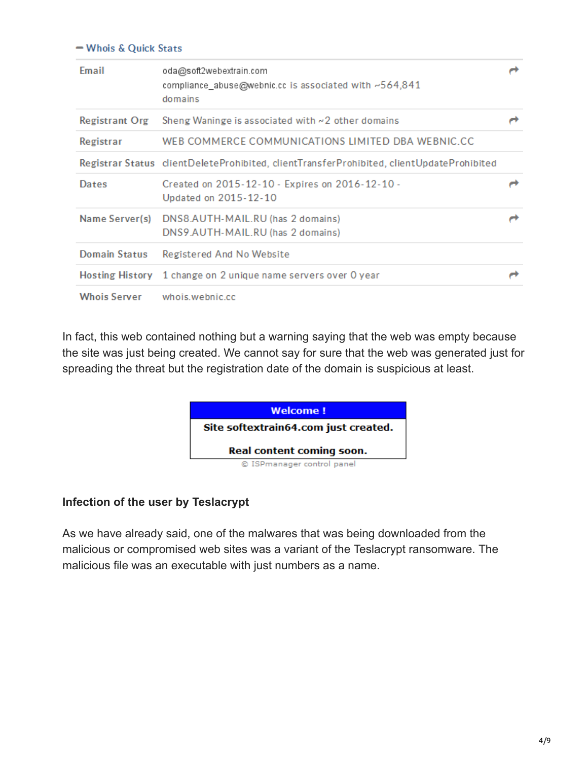### - Whois & Quick Stats

| Email                | oda@soft2webextrain.com<br>compliance_abuse@webnic.cc is associated with ~564,841<br>domains |  |
|----------------------|----------------------------------------------------------------------------------------------|--|
| Registrant Org       | Sheng Waninge is associated with $\sim$ 2 other domains                                      |  |
| Registrar            | WEB COMMERCE COMMUNICATIONS LIMITED DBA WEBNIC.CC                                            |  |
|                      | Registrar Status clientDeleteProhibited, clientTransferProhibited, clientUpdateProhibited    |  |
| Dates                | Created on 2015-12-10 - Expires on 2016-12-10 -<br>Updated on 2015-12-10                     |  |
| Name Server(s)       | DNS8.AUTH-MAIL.RU (has 2 domains)<br>DNS9.AUTH-MAIL.RU (has 2 domains)                       |  |
| <b>Domain Status</b> | Registered And No Website                                                                    |  |
|                      | Hosting History 1 change on 2 unique name servers over 0 year                                |  |
| <b>Whois Server</b>  | whois.webnic.cc                                                                              |  |

In fact, this web contained nothing but a warning saying that the web was empty because the site was just being created. We cannot say for sure that the web was generated just for spreading the threat but the registration date of the domain is suspicious at least.



### **Infection of the user by Teslacrypt**

As we have already said, one of the malwares that was being downloaded from the malicious or compromised web sites was a variant of the Teslacrypt ransomware. The malicious file was an executable with just numbers as a name.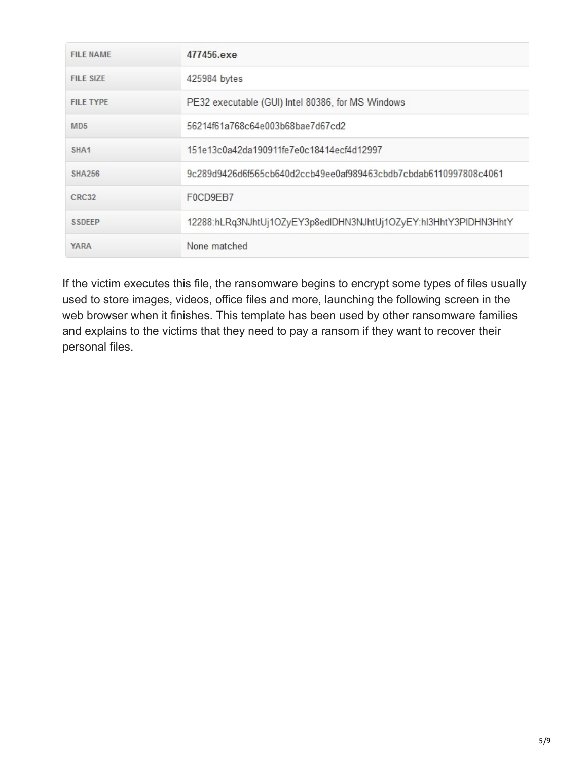| <b>FILE NAME</b> | 477456.exe                                                       |  |
|------------------|------------------------------------------------------------------|--|
| <b>FILE SIZE</b> | 425984 bytes                                                     |  |
| <b>FILE TYPE</b> | PE32 executable (GUI) Intel 80386, for MS Windows                |  |
| MD5              | 56214f61a768c64e003b68bae7d67cd2                                 |  |
| SHA <sub>1</sub> | 151e13c0a42da190911fe7e0c18414ecf4d12997                         |  |
| <b>SHA256</b>    | 9c289d9426d6f565cb640d2ccb49ee0af989463cbdb7cbdab6110997808c4061 |  |
| CRC32            | F0CD9EB7                                                         |  |
| <b>SSDEEP</b>    | 12288:hLRq3NJhtUj1OZyEY3p8edIDHN3NJhtUj1OZyEY:hI3HhtY3PIDHN3HhtY |  |
| <b>YARA</b>      | None matched                                                     |  |

If the victim executes this file, the ransomware begins to encrypt some types of files usually used to store images, videos, office files and more, launching the following screen in the web browser when it finishes. This template has been used by other ransomware families and explains to the victims that they need to pay a ransom if they want to recover their personal files.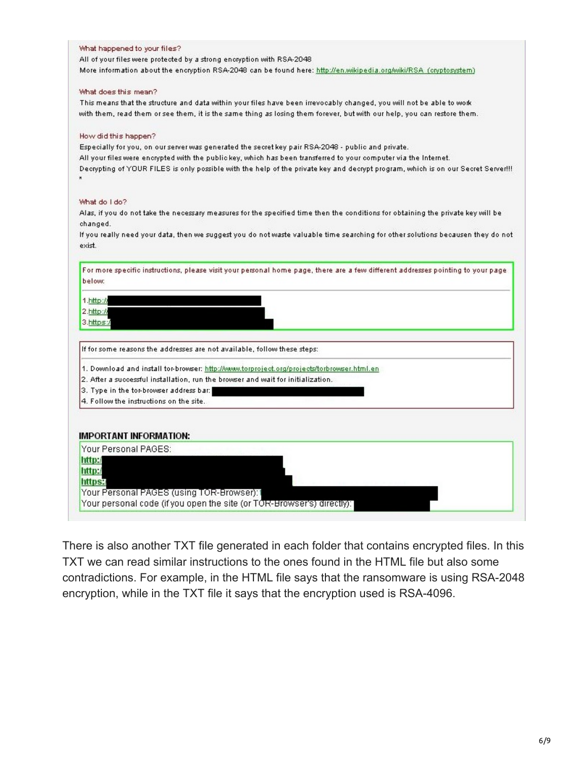#### What happened to your files?

All of your files were protected by a strong encryption with RSA-2048 More information about the encryption RSA-2048 can be found here: http://en.wikipedia.org/wiki/RSA (cryptosystem)

#### What does this mean?

This means that the structure and data within your files have been irrevocably changed, you will not be able to work with them, read them or see them, it is the same thing as losing them forever, but with our help, you can restore them.

#### How did this happen?

Especially for you, on our server was generated the secret key pair RSA-2048 - public and private. All your files were encrypted with the publickey, which has been transferred to your computer via the Internet. Decrypting of YOUR FILES is only possible with the help of the private key and decrypt program, which is on our Secret Server!!!  $\mathbf{x}$ 

#### What do I do?

Alas, if you do not take the necessary measures for the specified time then the conditions for obtaining the private key will be changed.

If you really need your data, then we suggest you do not waste valuable time searching for other solutions becausen they do not exist.

| $2.$ http://<br>https:/ | $1.$ http://                                                                               |  |
|-------------------------|--------------------------------------------------------------------------------------------|--|
|                         |                                                                                            |  |
|                         | 3.https:/                                                                                  |  |
|                         |                                                                                            |  |
|                         | If for some reasons the addresses are not available, follow these steps:                   |  |
|                         | 1. Download and install tor-browser: http://www.torproject.org/projects/torbrowser.html.en |  |
|                         | 2. After a successful installation, run the browser and wait for initialization.           |  |
|                         | 3. Type in the tor-browser address bar:                                                    |  |
|                         | 4. Follow the instructions on the site.                                                    |  |
|                         | <b>IMPORTANT INFORMATION:</b>                                                              |  |
|                         | Your Personal PAGES:                                                                       |  |
|                         | http:/                                                                                     |  |
|                         | http:/                                                                                     |  |
|                         |                                                                                            |  |
|                         | Your Personal PAGES (using TOR-Browser): 1                                                 |  |

There is also another TXT file generated in each folder that contains encrypted files. In this TXT we can read similar instructions to the ones found in the HTML file but also some contradictions. For example, in the HTML file says that the ransomware is using RSA-2048 encryption, while in the TXT file it says that the encryption used is RSA-4096.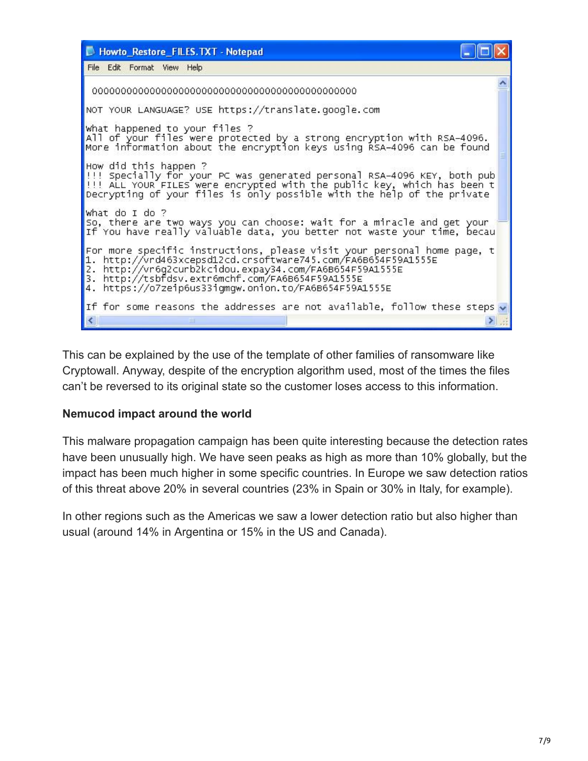

This can be explained by the use of the template of other families of ransomware like Cryptowall. Anyway, despite of the encryption algorithm used, most of the times the files can't be reversed to its original state so the customer loses access to this information.

## **Nemucod impact around the world**

This malware propagation campaign has been quite interesting because the detection rates have been unusually high. We have seen peaks as high as more than 10% globally, but the impact has been much higher in some specific countries. In Europe we saw detection ratios of this threat above 20% in several countries (23% in Spain or 30% in Italy, for example).

In other regions such as the Americas we saw a lower detection ratio but also higher than usual (around 14% in Argentina or 15% in the US and Canada).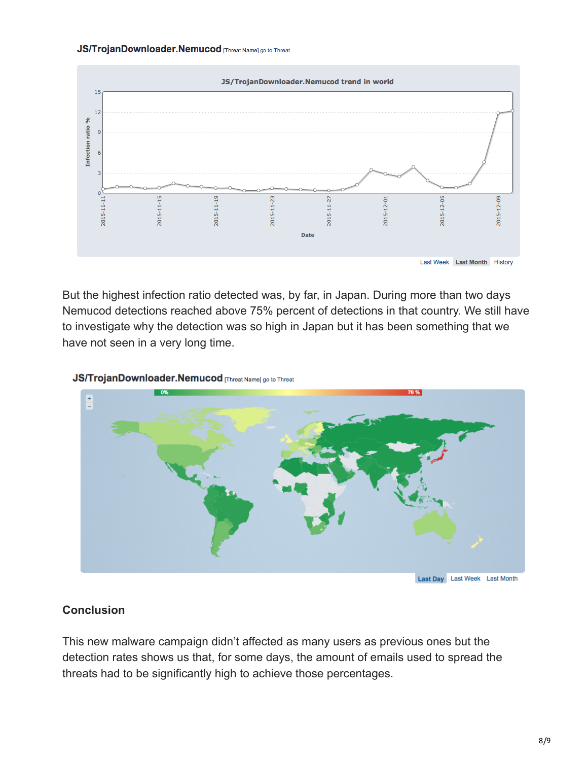### JS/TrojanDownloader.Nemucod [Threat Name] go to Threat



But the highest infection ratio detected was, by far, in Japan. During more than two days Nemucod detections reached above 75% percent of detections in that country. We still have to investigate why the detection was so high in Japan but it has been something that we have not seen in a very long time.

### JS/TrojanDownloader.Nemucod [Threat Name] go to Threat



### **Conclusion**

This new malware campaign didn't affected as many users as previous ones but the detection rates shows us that, for some days, the amount of emails used to spread the threats had to be significantly high to achieve those percentages.